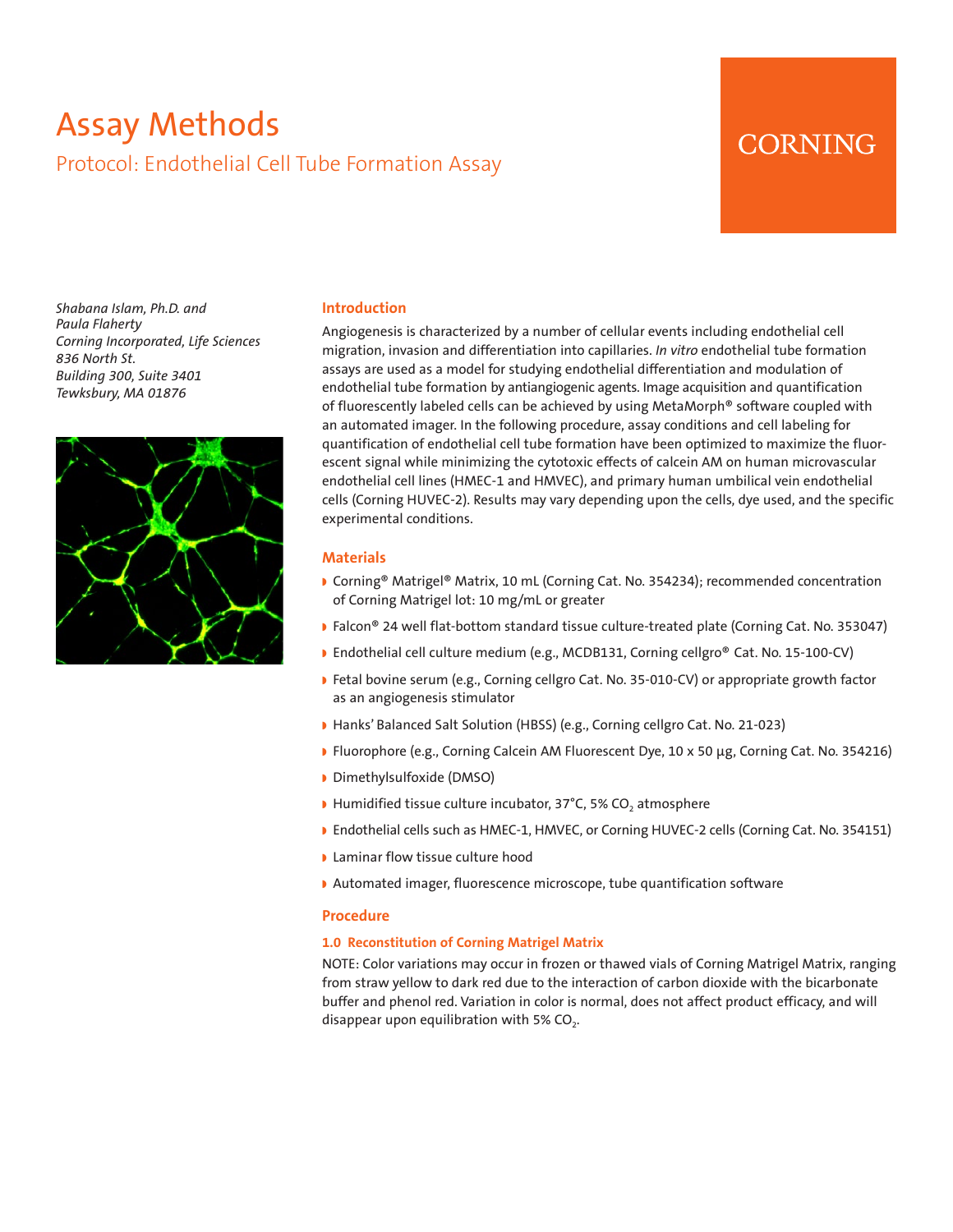# Assay Methods Protocol: Endothelial Cell Tube Formation Assay

# CORNING

*Shabana Islam, Ph.D. and Paula Flaherty Corning Incorporated, Life Sciences 836 North St. Building 300, Suite 3401 Tewksbury, MA 01876*



## **Introduction**

Angiogenesis is characterized by a number of cellular events including endothelial cell migration, invasion and differentiation into capillaries. *In vitro* endothelial tube formation assays are used as a model for studying endothelial differentiation and modulation of endothelial tube formation by antiangiogenic agents. Image acquisition and quantification of fluorescently labeled cells can be achieved by using MetaMorph® software coupled with an automated imager. In the following procedure, assay conditions and cell labeling for quantification of endothelial cell tube formation have been optimized to maximize the fluorescent signal while minimizing the cytotoxic effects of calcein AM on human microvascular endothelial cell lines (HMEC-1 and HMVEC), and primary human umbilical vein endothelial cells (Corning HUVEC-2). Results may vary depending upon the cells, dye used, and the specific experimental conditions.

# **Materials**

- Corning® Matrigel® Matrix, 10 mL (Corning Cat. No. 354234); recommended concentration of Corning Matrigel lot: 10 mg/mL or greater
- Falcon® 24 well flat-bottom standard tissue culture-treated plate (Corning Cat. No. 353047)
- **B** Endothelial cell culture medium (e.g., MCDB131, Corning cellgro® Cat. No. 15-100-CV)
- **P** Fetal bovine serum (e.g., Corning cellgro Cat. No. 35-010-CV) or appropriate growth factor as an angiogenesis stimulator
- Hanks' Balanced Salt Solution (HBSS) (e.g., Corning cellgro Cat. No. 21-023)
- w Fluorophore (e.g., Corning Calcein AM Fluorescent Dye, 10 x 50 μg, Corning Cat. No. 354216)
- Dimethylsulfoxide (DMSO)
- Humidified tissue culture incubator, 37°C, 5% CO<sub>2</sub> atmosphere
- **Endothelial cells such as HMEC-1, HMVEC, or Corning HUVEC-2 cells (Corning Cat. No. 354151)**
- **I** Laminar flow tissue culture hood
- Automated imager, fluorescence microscope, tube quantification software

#### **Procedure**

# **1.0 Reconstitution of Corning Matrigel Matrix**

NOTE: Color variations may occur in frozen or thawed vials of Corning Matrigel Matrix, ranging from straw yellow to dark red due to the interaction of carbon dioxide with the bicarbonate buffer and phenol red. Variation in color is normal, does not affect product efficacy, and will disappear upon equilibration with 5%  $CO<sub>2</sub>$ .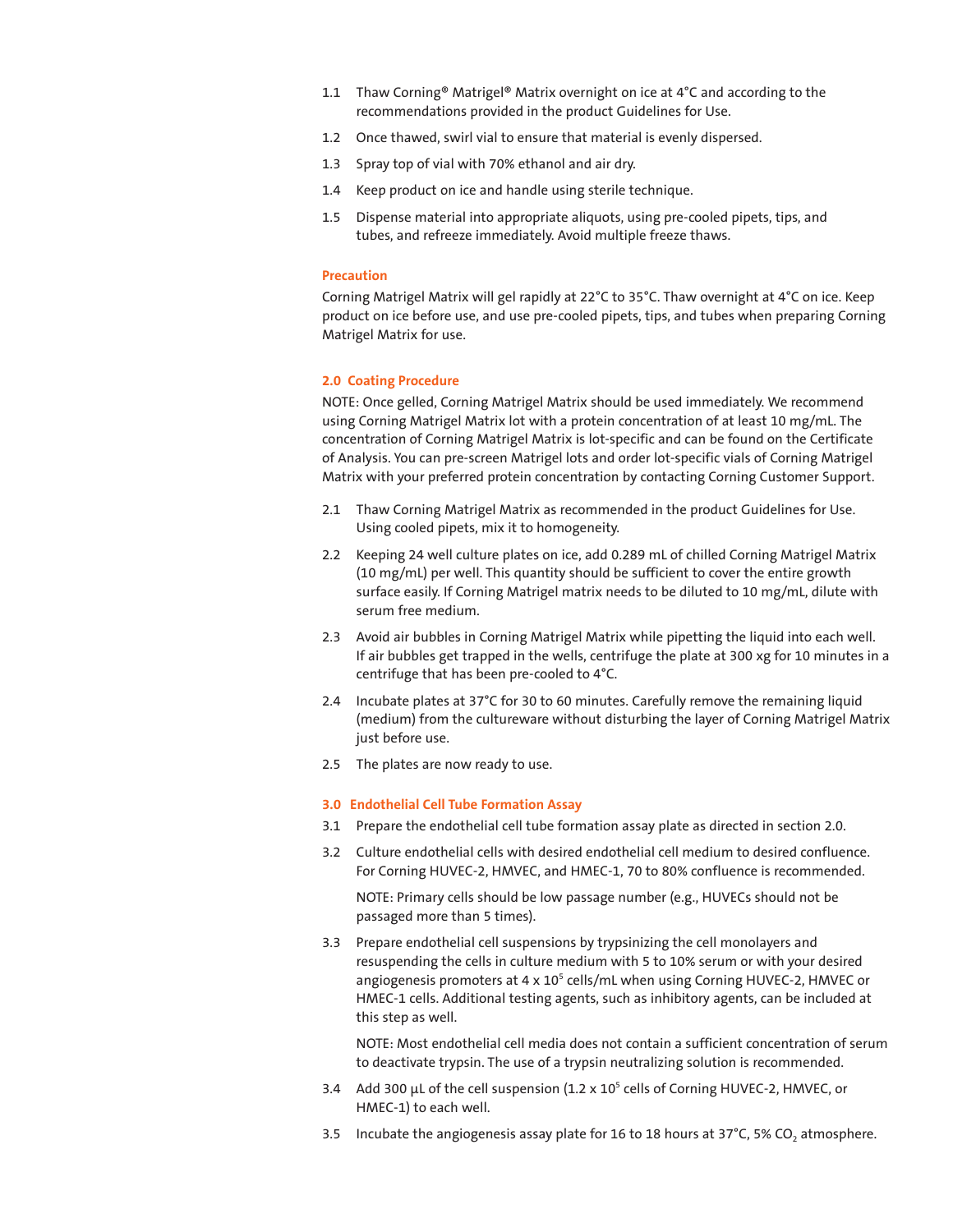- 1.1 Thaw Corning® Matrigel® Matrix overnight on ice at 4°C and according to the recommendations provided in the product Guidelines for Use.
- 1.2 Once thawed, swirl vial to ensure that material is evenly dispersed.
- 1.3 Spray top of vial with 70% ethanol and air dry.
- 1.4 Keep product on ice and handle using sterile technique.
- 1.5 Dispense material into appropriate aliquots, using pre-cooled pipets, tips, and tubes, and refreeze immediately. Avoid multiple freeze thaws.

#### **Precaution**

Corning Matrigel Matrix will gel rapidly at 22°C to 35°C. Thaw overnight at 4°C on ice. Keep product on ice before use, and use pre-cooled pipets, tips, and tubes when preparing Corning Matrigel Matrix for use.

#### **2.0 Coating Procedure**

NOTE: Once gelled, Corning Matrigel Matrix should be used immediately. We recommend using Corning Matrigel Matrix lot with a protein concentration of at least 10 mg/mL. The concentration of Corning Matrigel Matrix is lot-specific and can be found on the Certificate of Analysis. You can pre-screen Matrigel lots and order lot-specific vials of Corning Matrigel Matrix with your preferred protein concentration by contacting Corning Customer Support.

- 2.1 Thaw Corning Matrigel Matrix as recommended in the product Guidelines for Use. Using cooled pipets, mix it to homogeneity.
- 2.2 Keeping 24 well culture plates on ice, add 0.289 mL of chilled Corning Matrigel Matrix (10 mg/mL) per well. This quantity should be sufficient to cover the entire growth surface easily. If Corning Matrigel matrix needs to be diluted to 10 mg/mL, dilute with serum free medium.
- 2.3 Avoid air bubbles in Corning Matrigel Matrix while pipetting the liquid into each well. If air bubbles get trapped in the wells, centrifuge the plate at 300 xg for 10 minutes in a centrifuge that has been pre-cooled to 4°C.
- 2.4 Incubate plates at 37°C for 30 to 60 minutes. Carefully remove the remaining liquid (medium) from the cultureware without disturbing the layer of Corning Matrigel Matrix just before use.
- 2.5 The plates are now ready to use.

## **3.0 Endothelial Cell Tube Formation Assay**

- 3.1 Prepare the endothelial cell tube formation assay plate as directed in section 2.0.
- 3.2 Culture endothelial cells with desired endothelial cell medium to desired confluence. For Corning HUVEC-2, HMVEC, and HMEC-1, 70 to 80% confluence is recommended.

NOTE: Primary cells should be low passage number (e.g., HUVECs should not be passaged more than 5 times).

3.3 Prepare endothelial cell suspensions by trypsinizing the cell monolayers and resuspending the cells in culture medium with 5 to 10% serum or with your desired angiogenesis promoters at 4 x 10<sup>5</sup> cells/mL when using Corning HUVEC-2, HMVEC or HMEC-1 cells. Additional testing agents, such as inhibitory agents, can be included at this step as well.

NOTE: Most endothelial cell media does not contain a sufficient concentration of serum to deactivate trypsin. The use of a trypsin neutralizing solution is recommended.

- 3.4 Add 300  $\mu$ L of the cell suspension (1.2 x 10<sup>5</sup> cells of Corning HUVEC-2, HMVEC, or HMEC-1) to each well.
- 3.5 Incubate the angiogenesis assay plate for 16 to 18 hours at 37°C, 5% CO<sub>2</sub> atmosphere.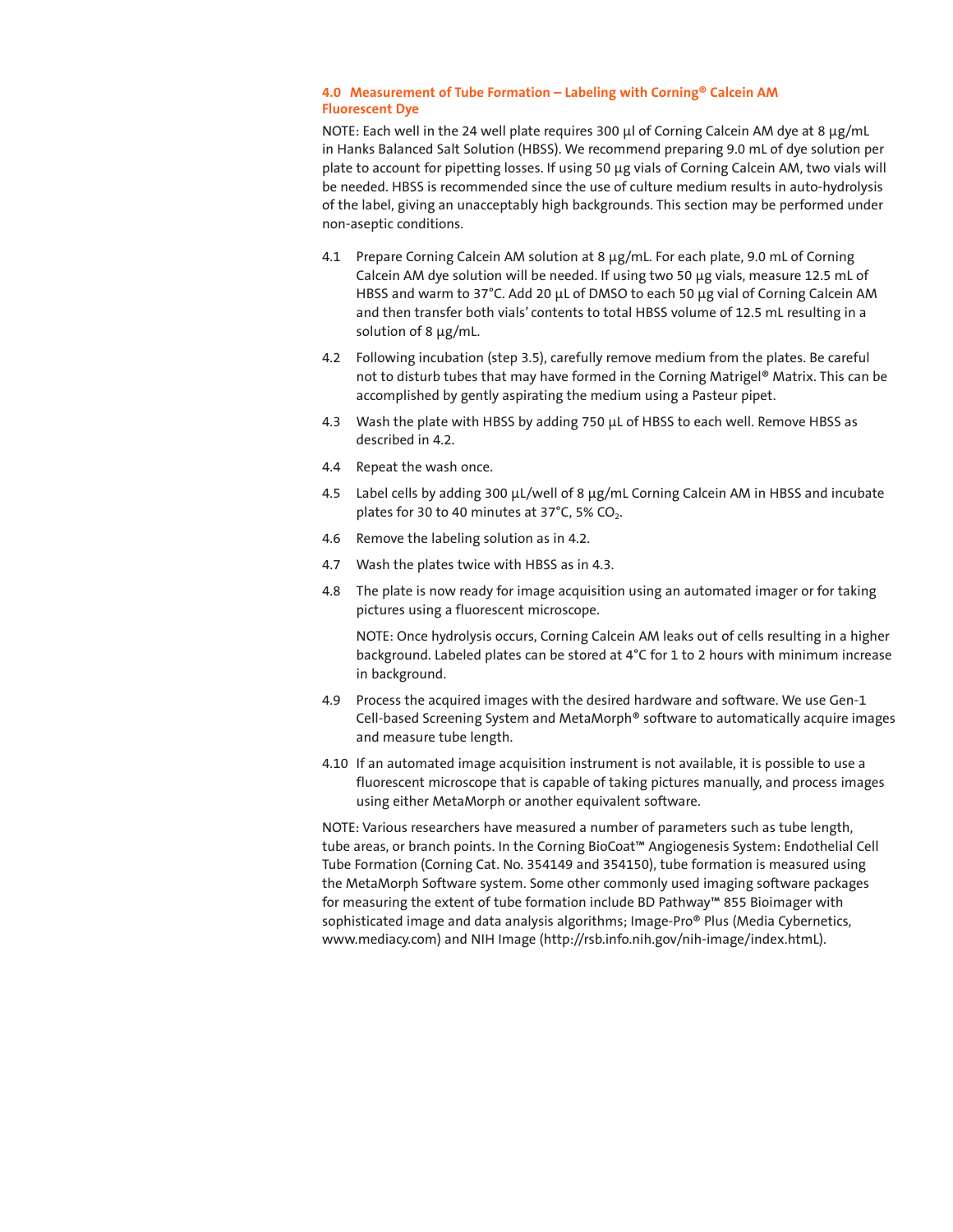### **4.0 Measurement of Tube Formation – Labeling with Corning® Calcein AM Fluorescent Dye**

NOTE: Each well in the 24 well plate requires 300 µl of Corning Calcein AM dye at 8 µg/mL in Hanks Balanced Salt Solution (HBSS). We recommend preparing 9.0 mL of dye solution per plate to account for pipetting losses. If using 50 µg vials of Corning Calcein AM, two vials will be needed. HBSS is recommended since the use of culture medium results in auto-hydrolysis of the label, giving an unacceptably high backgrounds. This section may be performed under non-aseptic conditions.

- 4.1 Prepare Corning Calcein AM solution at 8 μg/mL. For each plate, 9.0 mL of Corning Calcein AM dye solution will be needed. If using two 50 µg vials, measure 12.5 mL of HBSS and warm to 37°C. Add 20 μL of DMSO to each 50 μg vial of Corning Calcein AM and then transfer both vials' contents to total HBSS volume of 12.5 mL resulting in a solution of 8 µg/mL.
- 4.2 Following incubation (step 3.5), carefully remove medium from the plates. Be careful not to disturb tubes that may have formed in the Corning Matrigel® Matrix. This can be accomplished by gently aspirating the medium using a Pasteur pipet.
- 4.3 Wash the plate with HBSS by adding 750 μL of HBSS to each well. Remove HBSS as described in 4.2.
- 4.4 Repeat the wash once.
- 4.5 Label cells by adding 300 μL/well of 8 μg/mL Corning Calcein AM in HBSS and incubate plates for 30 to 40 minutes at 37°C, 5% CO<sub>2</sub>.
- 4.6 Remove the labeling solution as in 4.2.
- 4.7 Wash the plates twice with HBSS as in 4.3.
- 4.8 The plate is now ready for image acquisition using an automated imager or for taking pictures using a fluorescent microscope.

NOTE: Once hydrolysis occurs, Corning Calcein AM leaks out of cells resulting in a higher background. Labeled plates can be stored at 4°C for 1 to 2 hours with minimum increase in background.

- 4.9 Process the acquired images with the desired hardware and software. We use Gen-1 Cell-based Screening System and MetaMorph® software to automatically acquire images and measure tube length.
- 4.10 If an automated image acquisition instrument is not available, it is possible to use a fluorescent microscope that is capable of taking pictures manually, and process images using either MetaMorph or another equivalent software.

NOTE: Various researchers have measured a number of parameters such as tube length, tube areas, or branch points. In the Corning BioCoat™ Angiogenesis System: Endothelial Cell Tube Formation (Corning Cat. No. 354149 and 354150), tube formation is measured using the MetaMorph Software system. Some other commonly used imaging software packages for measuring the extent of tube formation include BD Pathway™ 855 Bioimager with sophisticated image and data analysis algorithms; Image-Pro® Plus (Media Cybernetics, www.mediacy.com) and NIH Image (http://rsb.info.nih.gov/nih-image/index.htmL).